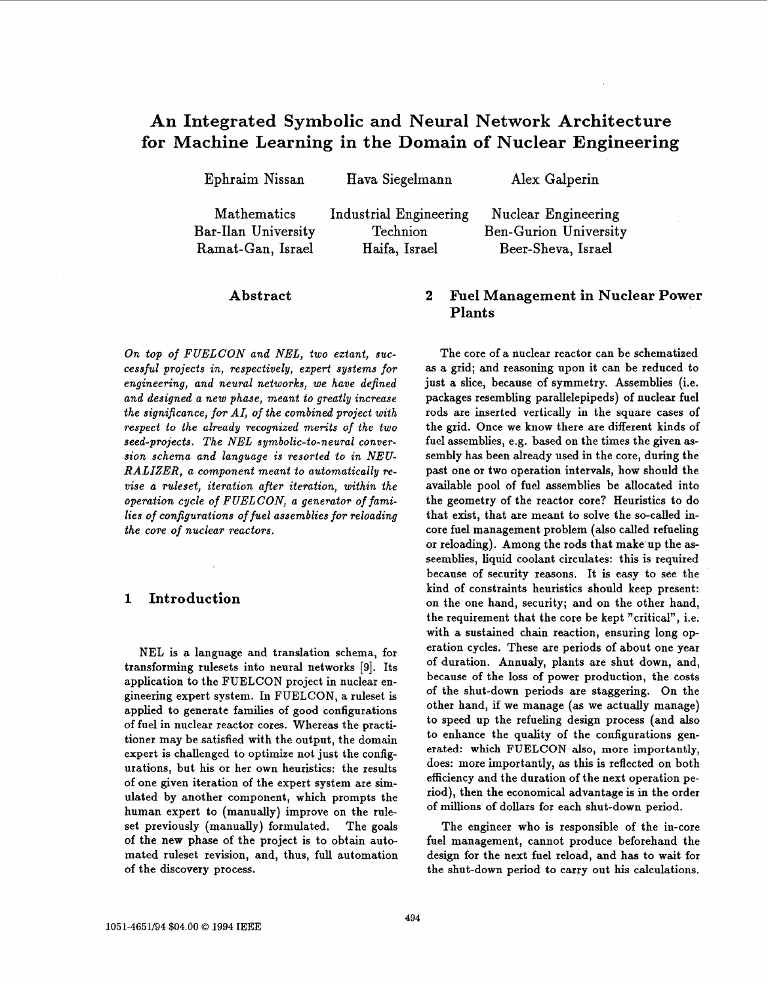# **An Integrated Symbolic and Neural Network Architecture for Machine Learning in the Domain of Nuclear Engineering**

| Alex Galperin         |
|-----------------------|
| Nuclear Engineering   |
| Ben-Gurion University |
| Beer-Sheva, Israel    |
|                       |

#### **Abstract**

*On top of FUELCON and NEL, two extant, successful projects in, respectively, expert systems for engineering, and neural networks, we have defined and designed a new phase, meant to greatly increase the significance, for AI, of the combined project with respect to the already recognized merits of the two seed-projects. The NEL symbolic-to-neural conversion schema and language is resorted to in NEU-RALIZER, a component meant to automatically revise a ruleset, iteration after iteration, within the operation cycle* **of** *FUELCON, a generator* **of** *families of configurations of fuel assemblies for reloading the core of nuclear reactors.* 

## **1 Introduction**

**NEL** is a language and translation schema, for transforming rulesets into neural networks **[9].** Its application to the FUELCON project in nuclear engineering expert system. In FUELCON, a ruleset is applied to generate families of good configurations of fuel in nuclear reactor cores. Whereas the practitioner may be satisfied with the output, the domain expert is challenged to optimize not just the configurations, but his or her own heuristics: the results of one given iteration of the expert system are simulated by another component, which prompts the human expert to (manually) improve on the ruleset previously (manually) formulated. The goals of the new phase of the project is to obtain automated ruleset revision, and, thus, full automation of the discovery process.

# **2 Fuel Management in Nuclear Power Plants**

The core of a nuclear reactor can be schematized **as** a grid; and reasoning upon it can be reduced to just a slice, because of symmetry, Assemblies (i.e. packages resembling parallelepipeds) of nuclear fuel rods are inserted vertically in the square cases of the grid. Once we know there are different kinds of fuel assemblies, e.g. based on the times the given assembly has been already used in the core, during the past one or two operation intervals, how should the available pool of fuel assemblies be allocated into the geometry of the reactor core? Heuristics to do that exist, that are meant to solve the so-called incore fuel management problem (also called refueling or reloading). Among the rods that make up the asseemblies, liquid coolant circulates: this is required because of security reasons. It is easy to see the kind of constraints heuristics should keep present: on the one hand, security; and on the other hand, the requirement that the core be kept "critical", i.e. with a sustained chain reaction, ensuring long operation cycles. These are periods **of** about one year of duration. Annualy, plants are shut down, and, because of the loss of power production, the costs of the shut-down periods are staggering. On the other hand, if we manage (as we actually manage) to speed up the refueling design process (and also to enhance the quality of the configurations generated: which **FUELCON also,** more importantly, does: more importantly, as this is reflected on both efficiency and the duration of the next operation period), then the economical advantage is in the order of millions of dollars for each shut-down period.

The engineer who is responsible of the in-core fuel management, cannot produce beforehand the design for the next fuel reload, and has to wait for the shut-down period to carry out his calculations.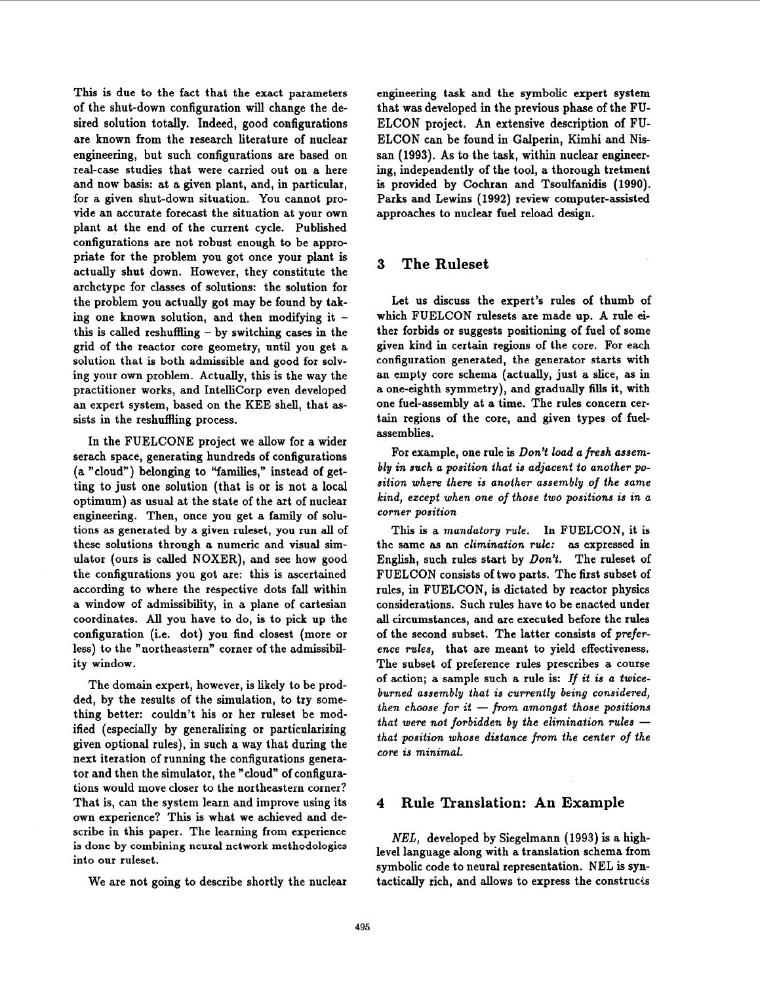This is due to the fact that the exact parameters of the shut-down configuration will change the desired solution totally. Indeed, good configurations are known from the research literature of nuclear engineering, but such configurations are based on real-case studies that were carried out on a here and now basis: at a given plant, and, in particular, for a given shut-down situation. You cannot provide an accurate forecast the situation at your own plant at the end of the current cycle. Published configurations are not robust enough to be appropriate for the problem you got once your plant is actually shut down. However, they constitute the archetype for classes **of** solutions: the solution for the problem **you** actually got may be found by taking one known solution, and then modifying it this is called reshuffling  $-$  by switching cases in the grid of the reactor core geometry, until you get **a**  solution that is both admissible and good for solving your own problem. Actually, this is the way the practitioner works, and IntelliCorp even developed an expert system, based on the KEE shell, that **as**sists in the reshuffling process.

In the FUELCONE project we allow for a wider serach space, generating hundreds of configurations (a "cloud") belonging to "families," instead of getting to just one solution (that is or is not **a** local optimum) **as** usual at the state of the art of nuclear engineering. Then, once you get a family of solutions as generated by a given ruleset, you run all of these solutions through a numeric and visual simulator (ours is called NOXER), and see how good the configurations you got are: this is ascertained according to where the respective dots fall within a window **of** admissibility, in a plane of Cartesian coordinates. All you have to do, is to pick up the configuration (i.e. dot) you find closest (more or less) to the "northeastern" corner of the admissibility window.

The domain expert, however, is likely to be prodded, by the results **of** the simulation, to try something better: couldn't his or her ruleset be modified (especially by generalizing or particularizing given optional rules), in such a way that during the next iteration of running the configurations generator and then the simulator, the "cloud" of configurations would move closer to the northeastern corner? That is, can the system learn and improve using its own experience? This is what we achieved and describe in this paper. The learning from experience into our ruleset. is done by combining neural network methodologies level language along with a translation schema from

We are not going to describe shortly the nuclear

engineering task and the symbolic expert system that was developed in the previous phase of the **FU-**ELCON project. An extensive description of **FU-**ELCON can be found in Galperin, Kimhi and Nissan (1993). As to the task, within nuclear engineering, independently of the tool, a thorough tretment is provided by Cochran and Tsoulfanidis **(1990).**  Parks and Lewins **(1992)** review computer-assisted approaches to nuclear fuel reload design.

#### **3 The Ruleset**

Let us discuss the expert's rules of thumb **of**  which FUELCON rulesets are made up. A rule either forbids or suggests positioning of fuel **of** some given kind in certain regions of the core. **For** each configuration generated, the generator starts with an empty core schema (actually, just a slice, as in a one-eighth symmetry), and gradually fills it, with one fuel-assembly at a time. The rules concern certain regions of the core, and given types of fuelassemblies.

For example, one rule is *DonY load a fresh assembly in such a position that is adjacent to another position where there is another assembly of the same kind, except when one of those two positions is in a corner position* 

This is a *mandatory rule*. In FUELCON, it is the same as an *elimination rule:* as expressed in English, such rules start by *DonY.* The ruleset of FUELCON consists of two parts. The first subset **of**  rules, in FUELCON, is dictated by reactor physics considerations. Such rules have to be enacted under all circumstances, and are executed before the rules of the second subset. The latter consists **of** *preference rules,* that are meant to yield effectiveness. The subset of preference rules prescribes **a** course of action; a sample such a rule is: *If it is a twiceburned assembly that is currently being considered, then choose for it* - *from amongst those positions then choose for it – from amongst those positions*<br>that were not forbidden by the elimination rules – *that position whose distance from the center of the* core is minimal.

## **4 Rule Translation: An Example**

*NEL,* developed by Siegelmann **(1993)** is a highsymbolic code **to** neural representation. NEL **is** syntactically rich, and allows to express the construcis